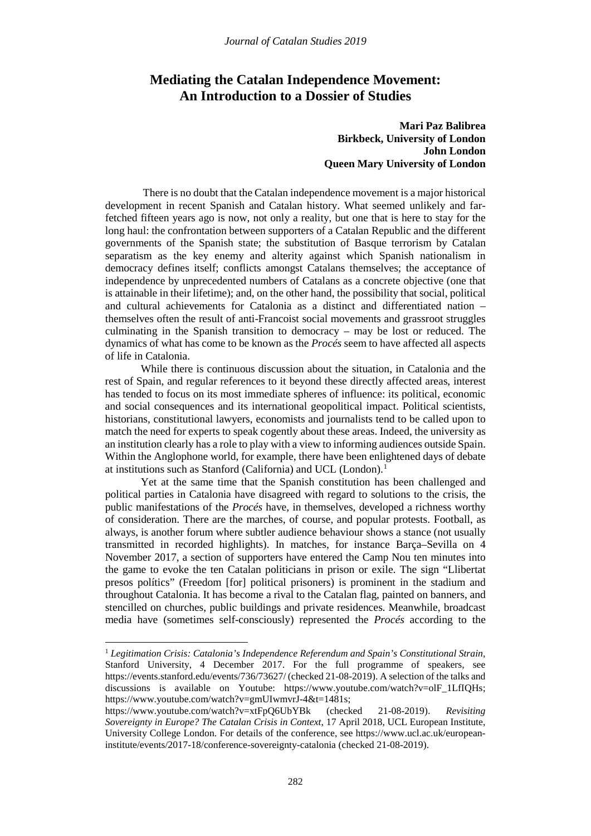# **Mediating the Catalan Independence Movement: An Introduction to a Dossier of Studies**

## **Mari Paz Balibrea Birkbeck, University of London John London Queen Mary University of London**

There is no doubt that the Catalan independence movement is a major historical development in recent Spanish and Catalan history. What seemed unlikely and farfetched fifteen years ago is now, not only a reality, but one that is here to stay for the long haul: the confrontation between supporters of a Catalan Republic and the different governments of the Spanish state; the substitution of Basque terrorism by Catalan separatism as the key enemy and alterity against which Spanish nationalism in democracy defines itself; conflicts amongst Catalans themselves; the acceptance of independence by unprecedented numbers of Catalans as a concrete objective (one that is attainable in their lifetime); and, on the other hand, the possibility that social, political and cultural achievements for Catalonia as a distinct and differentiated nation – themselves often the result of anti-Francoist social movements and grassroot struggles culminating in the Spanish transition to democracy – may be lost or reduced. The dynamics of what has come to be known as the *Procés* seem to have affected all aspects of life in Catalonia.

While there is continuous discussion about the situation, in Catalonia and the rest of Spain, and regular references to it beyond these directly affected areas, interest has tended to focus on its most immediate spheres of influence: its political, economic and social consequences and its international geopolitical impact. Political scientists, historians, constitutional lawyers, economists and journalists tend to be called upon to match the need for experts to speak cogently about these areas. Indeed, the university as an institution clearly has a role to play with a view to informing audiences outside Spain. Within the Anglophone world, for example, there have been enlightened days of debate at institutions such as Stanford (California) and UCL (London). [1](#page-0-0)

Yet at the same time that the Spanish constitution has been challenged and political parties in Catalonia have disagreed with regard to solutions to the crisis, the public manifestations of the *Procés* have, in themselves, developed a richness worthy of consideration. There are the marches, of course, and popular protests. Football, as always, is another forum where subtler audience behaviour shows a stance (not usually transmitted in recorded highlights). In matches, for instance Barça–Sevilla on 4 November 2017, a section of supporters have entered the Camp Nou ten minutes into the game to evoke the ten Catalan politicians in prison or exile. The sign "Llibertat presos polítics" (Freedom [for] political prisoners) is prominent in the stadium and throughout Catalonia. It has become a rival to the Catalan flag, painted on banners, and stencilled on churches, public buildings and private residences. Meanwhile, broadcast media have (sometimes self-consciously) represented the *Procés* according to the

l

<span id="page-0-0"></span><sup>1</sup> *Legitimation Crisis: Catalonia's Independence Referendum and Spain's Constitutional Strain*, Stanford University, 4 December 2017. For the full programme of speakers, see https://events.stanford.edu/events/736/73627/ (checked 21-08-2019). A selection of the talks and discussions is available on Youtube: [https://www.youtube.com/watch?v=olF\\_1LfIQHs;](https://www.youtube.com/watch?v=olF_1LfIQHs) [https://www.youtube.com/watch?v=gmUIwmvrJ-4&t=1481s;](https://www.youtube.com/watch?v=gmUIwmvrJ-4&t=1481s)

https://www.youtube.com/watch?v=xtFpQ6UbYBk (checked 21-08-2019). *Revisiting Sovereignty in Europe? The Catalan Crisis in Context*, 17 April 2018, UCL European Institute, University College London. For details of the conference, see [https://www.ucl.ac.uk/european](https://www.ucl.ac.uk/european-institute/events/2017-18/conference-sovereignty-catalonia)[institute/events/2017-18/conference-sovereignty-catalonia](https://www.ucl.ac.uk/european-institute/events/2017-18/conference-sovereignty-catalonia) (checked 21-08-2019).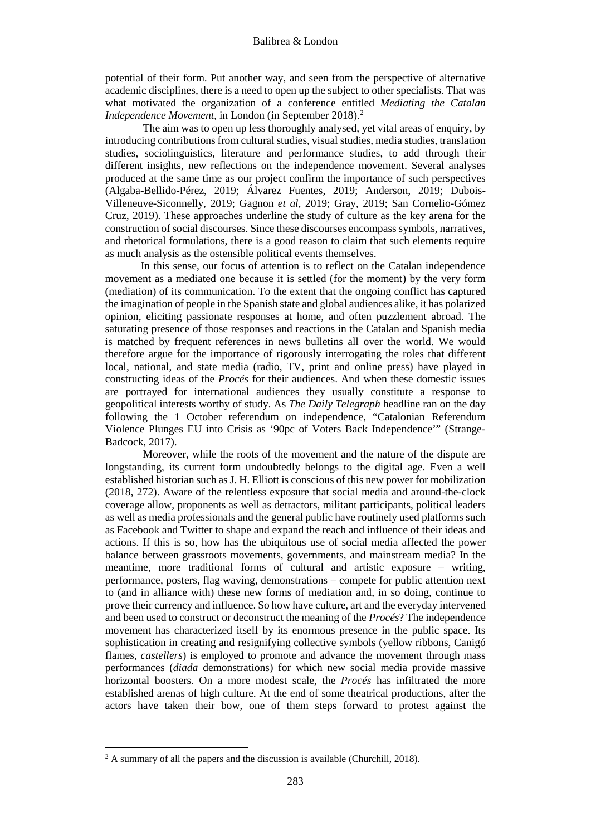potential of their form. Put another way, and seen from the perspective of alternative academic disciplines, there is a need to open up the subject to other specialists. That was what motivated the organization of a conference entitled *Mediating the Catalan Independence Movement*, in London (in September [2](#page-1-0)018).<sup>2</sup>

The aim was to open up less thoroughly analysed, yet vital areas of enquiry, by introducing contributions from cultural studies, visual studies, media studies, translation studies, sociolinguistics, literature and performance studies, to add through their different insights, new reflections on the independence movement. Several analyses produced at the same time as our project confirm the importance of such perspectives (Algaba-Bellido-Pérez, 2019; Álvarez Fuentes, 2019; Anderson, 2019; Dubois-Villeneuve-Siconnelly, 2019; Gagnon *et al*, 2019; Gray, 2019; San Cornelio-Gómez Cruz, 2019). These approaches underline the study of culture as the key arena for the construction of social discourses. Since these discourses encompass symbols, narratives, and rhetorical formulations, there is a good reason to claim that such elements require as much analysis as the ostensible political events themselves.

In this sense, our focus of attention is to reflect on the Catalan independence movement as a mediated one because it is settled (for the moment) by the very form (mediation) of its communication. To the extent that the ongoing conflict has captured the imagination of people in the Spanish state and global audiences alike, it has polarized opinion, eliciting passionate responses at home, and often puzzlement abroad. The saturating presence of those responses and reactions in the Catalan and Spanish media is matched by frequent references in news bulletins all over the world. We would therefore argue for the importance of rigorously interrogating the roles that different local, national, and state media (radio, TV, print and online press) have played in constructing ideas of the *Procés* for their audiences. And when these domestic issues are portrayed for international audiences they usually constitute a response to geopolitical interests worthy of study. As *The Daily Telegraph* headline ran on the day following the 1 October referendum on independence, "Catalonian Referendum Violence Plunges EU into Crisis as '90pc of Voters Back Independence'" (Strange-Badcock, 2017).

Moreover, while the roots of the movement and the nature of the dispute are longstanding, its current form undoubtedly belongs to the digital age. Even a well established historian such as J. H. Elliott is conscious of this new power for mobilization (2018, 272). Aware of the relentless exposure that social media and around-the-clock coverage allow, proponents as well as detractors, militant participants, political leaders as well as media professionals and the general public have routinely used platforms such as Facebook and Twitter to shape and expand the reach and influence of their ideas and actions. If this is so, how has the ubiquitous use of social media affected the power balance between grassroots movements, governments, and mainstream media? In the meantime, more traditional forms of cultural and artistic exposure – writing, performance, posters, flag waving, demonstrations – compete for public attention next to (and in alliance with) these new forms of mediation and, in so doing, continue to prove their currency and influence. So how have culture, art and the everyday intervened and been used to construct or deconstruct the meaning of the *Procés*? The independence movement has characterized itself by its enormous presence in the public space. Its sophistication in creating and resignifying collective symbols (yellow ribbons, Canigó flames, *castellers*) is employed to promote and advance the movement through mass performances (*diada* demonstrations) for which new social media provide massive horizontal boosters. On a more modest scale, the *Procés* has infiltrated the more established arenas of high culture. At the end of some theatrical productions, after the actors have taken their bow, one of them steps forward to protest against the

l

<span id="page-1-0"></span> $2 \text{ A summary of all the papers and the discussion is available (Churchill, 2018).}$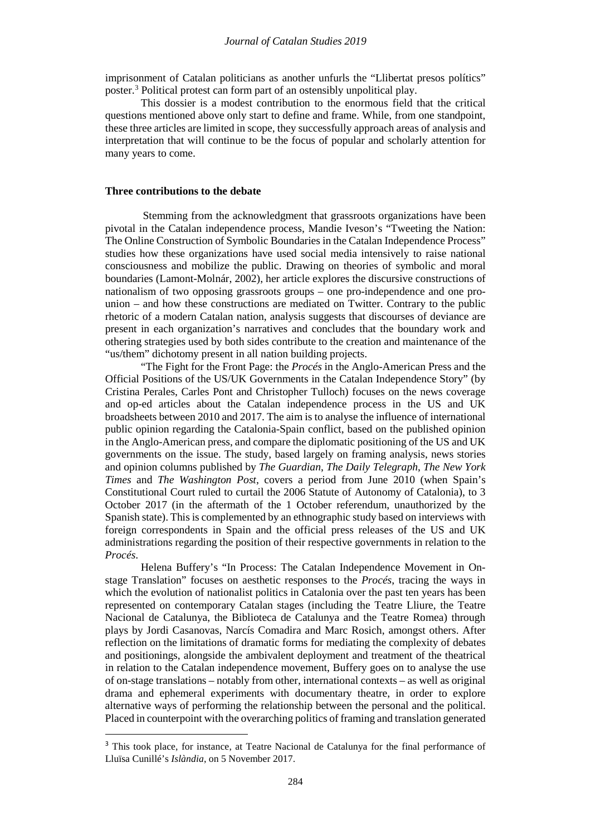imprisonment of Catalan politicians as another unfurls the "Llibertat presos polítics" poster.[3](#page-2-0) Political protest can form part of an ostensibly unpolitical play.

This dossier is a modest contribution to the enormous field that the critical questions mentioned above only start to define and frame. While, from one standpoint, these three articles are limited in scope, they successfully approach areas of analysis and interpretation that will continue to be the focus of popular and scholarly attention for many years to come.

### **Three contributions to the debate**

Stemming from the acknowledgment that grassroots organizations have been pivotal in the Catalan independence process, Mandie Iveson's "Tweeting the Nation: The Online Construction of Symbolic Boundaries in the Catalan Independence Process" studies how these organizations have used social media intensively to raise national consciousness and mobilize the public. Drawing on theories of symbolic and moral boundaries (Lamont-Molnár, 2002), her article explores the discursive constructions of nationalism of two opposing grassroots groups – one pro-independence and one prounion – and how these constructions are mediated on Twitter. Contrary to the public rhetoric of a modern Catalan nation, analysis suggests that discourses of deviance are present in each organization's narratives and concludes that the boundary work and othering strategies used by both sides contribute to the creation and maintenance of the "us/them" dichotomy present in all nation building projects.

"The Fight for the Front Page: the *Procés* in the Anglo-American Press and the Official Positions of the US/UK Governments in the Catalan Independence Story" (by Cristina Perales, Carles Pont and Christopher Tulloch) focuses on the news coverage and op-ed articles about the Catalan independence process in the US and UK broadsheets between 2010 and 2017. The aim is to analyse the influence of international public opinion regarding the Catalonia-Spain conflict, based on the published opinion in the Anglo-American press, and compare the diplomatic positioning of the US and UK governments on the issue. The study, based largely on framing analysis, news stories and opinion columns published by *The Guardian*, *The Daily Telegraph*, *The New York Times* and *The Washington Post*, covers a period from June 2010 (when Spain's Constitutional Court ruled to curtail the 2006 Statute of Autonomy of Catalonia), to 3 October 2017 (in the aftermath of the 1 October referendum, unauthorized by the Spanish state). This is complemented by an ethnographic study based on interviews with foreign correspondents in Spain and the official press releases of the US and UK administrations regarding the position of their respective governments in relation to the *Procés*.

Helena Buffery's "In Process: The Catalan Independence Movement in Onstage Translation" focuses on aesthetic responses to the *Procés*, tracing the ways in which the evolution of nationalist politics in Catalonia over the past ten years has been represented on contemporary Catalan stages (including the Teatre Lliure, the Teatre Nacional de Catalunya, the Biblioteca de Catalunya and the Teatre Romea) through plays by Jordi Casanovas, Narcís Comadira and Marc Rosich, amongst others. After reflection on the limitations of dramatic forms for mediating the complexity of debates and positionings, alongside the ambivalent deployment and treatment of the theatrical in relation to the Catalan independence movement, Buffery goes on to analyse the use of on-stage translations – notably from other, international contexts – as well as original drama and ephemeral experiments with documentary theatre, in order to explore alternative ways of performing the relationship between the personal and the political. Placed in counterpoint with the overarching politics of framing and translation generated

<span id="page-2-0"></span><sup>&</sup>lt;sup>3</sup> This took place, for instance, at Teatre Nacional de Catalunya for the final performance of Lluïsa Cunillé's *Islàndia*, on 5 November 2017.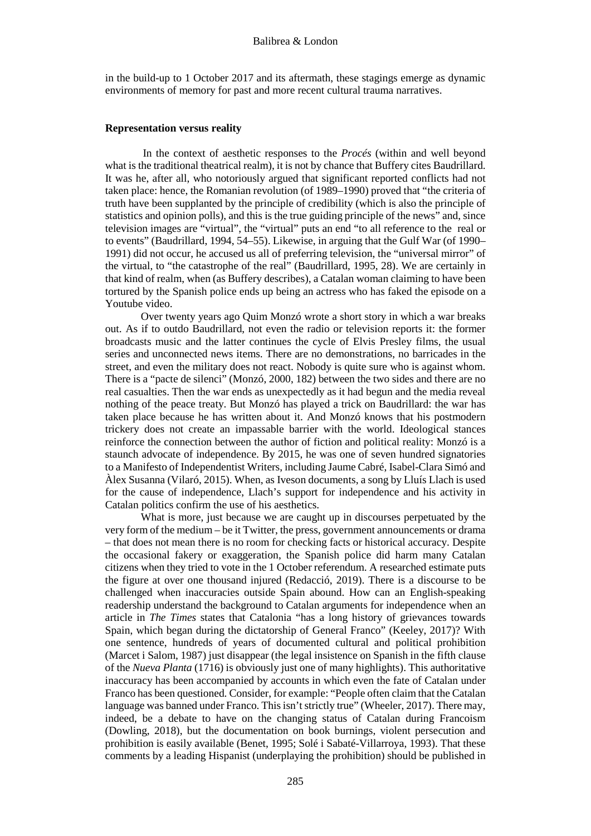in the build-up to 1 October 2017 and its aftermath, these stagings emerge as dynamic environments of memory for past and more recent cultural trauma narratives.

#### **Representation versus reality**

In the context of aesthetic responses to the *Procés* (within and well beyond what is the traditional theatrical realm), it is not by chance that Buffery cites Baudrillard. It was he, after all, who notoriously argued that significant reported conflicts had not taken place: hence, the Romanian revolution (of 1989–1990) proved that "the criteria of truth have been supplanted by the principle of credibility (which is also the principle of statistics and opinion polls), and this is the true guiding principle of the news" and, since television images are "virtual", the "virtual" puts an end "to all reference to the real or to events" (Baudrillard, 1994, 54–55). Likewise, in arguing that the Gulf War (of 1990– 1991) did not occur, he accused us all of preferring television, the "universal mirror" of the virtual, to "the catastrophe of the real" (Baudrillard, 1995, 28). We are certainly in that kind of realm, when (as Buffery describes), a Catalan woman claiming to have been tortured by the Spanish police ends up being an actress who has faked the episode on a Youtube video.

Over twenty years ago Quim Monzó wrote a short story in which a war breaks out. As if to outdo Baudrillard, not even the radio or television reports it: the former broadcasts music and the latter continues the cycle of Elvis Presley films, the usual series and unconnected news items. There are no demonstrations, no barricades in the street, and even the military does not react. Nobody is quite sure who is against whom. There is a "pacte de silenci" (Monzó, 2000, 182) between the two sides and there are no real casualties. Then the war ends as unexpectedly as it had begun and the media reveal nothing of the peace treaty. But Monzó has played a trick on Baudrillard: the war has taken place because he has written about it. And Monzó knows that his postmodern trickery does not create an impassable barrier with the world. Ideological stances reinforce the connection between the author of fiction and political reality: Monzó is a staunch advocate of independence. By 2015, he was one of seven hundred signatories to a Manifesto of Independentist Writers, including Jaume Cabré, Isabel-Clara Simó and Àlex Susanna (Vilaró, 2015). When, as Iveson documents, a song by Lluís Llach is used for the cause of independence, Llach's support for independence and his activity in Catalan politics confirm the use of his aesthetics.

What is more, just because we are caught up in discourses perpetuated by the very form of the medium – be it Twitter, the press, government announcements or drama – that does not mean there is no room for checking facts or historical accuracy. Despite the occasional fakery or exaggeration, the Spanish police did harm many Catalan citizens when they tried to vote in the 1 October referendum. A researched estimate puts the figure at over one thousand injured (Redacció, 2019). There is a discourse to be challenged when inaccuracies outside Spain abound. How can an English-speaking readership understand the background to Catalan arguments for independence when an article in *The Times* states that Catalonia "has a long history of grievances towards Spain, which began during the dictatorship of General Franco" (Keeley, 2017)? With one sentence, hundreds of years of documented cultural and political prohibition (Marcet i Salom, 1987) just disappear (the legal insistence on Spanish in the fifth clause of the *Nueva Planta* (1716) is obviously just one of many highlights). This authoritative inaccuracy has been accompanied by accounts in which even the fate of Catalan under Franco has been questioned. Consider, for example: "People often claim that the Catalan language was banned under Franco. This isn't strictly true" (Wheeler, 2017). There may, indeed, be a debate to have on the changing status of Catalan during Francoism (Dowling, 2018), but the documentation on book burnings, violent persecution and prohibition is easily available (Benet, 1995; Solé i Sabaté-Villarroya, 1993). That these comments by a leading Hispanist (underplaying the prohibition) should be published in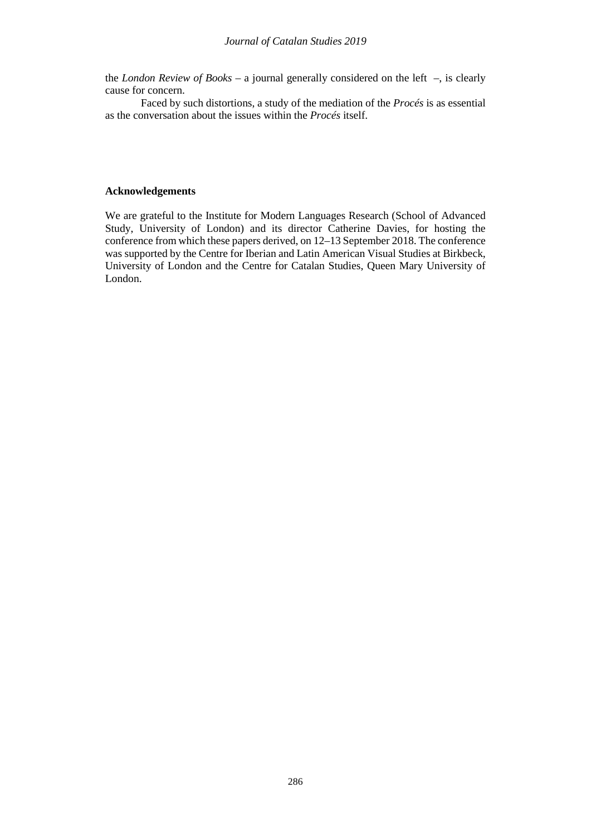the *London Review of Books* – a journal generally considered on the left –, is clearly cause for concern.

Faced by such distortions, a study of the mediation of the *Procés* is as essential as the conversation about the issues within the *Procés* itself.

## **Acknowledgements**

We are grateful to the Institute for Modern Languages Research (School of Advanced Study, University of London) and its director Catherine Davies, for hosting the conference from which these papers derived, on 12–13 September 2018. The conference was supported by the Centre for Iberian and Latin American Visual Studies at Birkbeck, University of London and the Centre for Catalan Studies, Queen Mary University of London.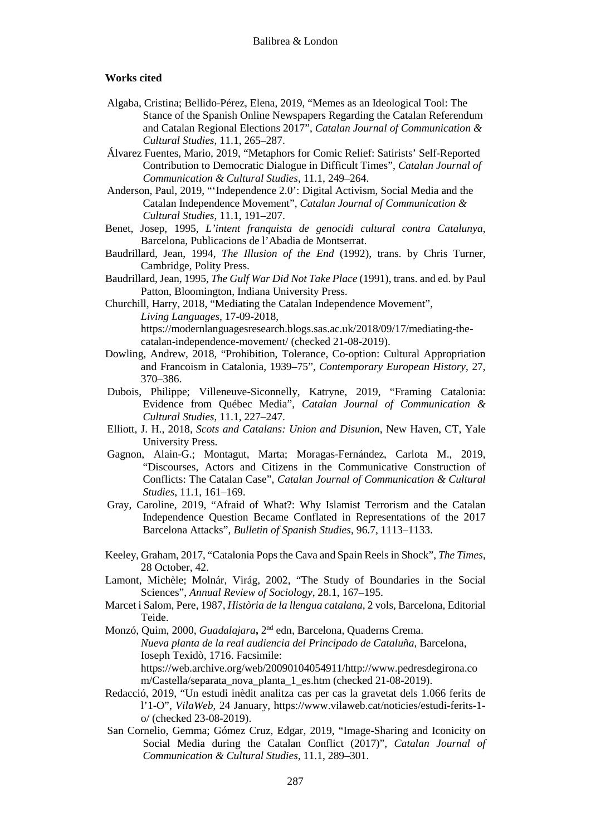#### **Works cited**

- Algaba, Cristina; Bellido-Pérez, Elena, 2019, "Memes as an Ideological Tool: The Stance of the Spanish Online Newspapers Regarding the Catalan Referendum and Catalan Regional Elections 2017", *Catalan Journal of Communication & Cultural Studies*, 11.1, 265–287.
- Álvarez Fuentes, Mario, 2019, "Metaphors for Comic Relief: Satirists' Self-Reported Contribution to Democratic Dialogue in Difficult Times", *Catalan Journal of Communication & Cultural Studies*, 11.1, 249–264.
- Anderson, Paul, 2019, "'Independence 2.0': Digital Activism, Social Media and the Catalan Independence Movement", *Catalan Journal of Communication & Cultural Studies*, 11.1, 191–207.
- Benet, Josep, 1995, *L'intent franquista de genocidi cultural contra Catalunya*, Barcelona, Publicacions de l'Abadia de Montserrat.
- Baudrillard, Jean, 1994, *The Illusion of the End* (1992), trans. by Chris Turner, Cambridge, Polity Press.
- Baudrillard, Jean, 1995, *The Gulf War Did Not Take Place* (1991), trans. and ed. by Paul Patton, Bloomington, Indiana University Press.
- Churchill, Harry, 2018, "Mediating the Catalan Independence Movement", *Living Languages*, 17-09-2018, https://modernlanguagesresearch.blogs.sas.ac.uk/2018/09/17/mediating-thecatalan-independence-movement/ (checked 21-08-2019).
- Dowling, Andrew, 2018, "Prohibition, Tolerance, Co-option: Cultural Appropriation and Francoism in Catalonia, 1939–75", *Contemporary European History*, 27, 370–386.
- Dubois, Philippe; Villeneuve-Siconnelly, Katryne, 2019, "Framing Catalonia: Evidence from Québec Media", *Catalan Journal of Communication & Cultural Studies*, 11.1, 227–247.
- Elliott, J. H., 2018, *Scots and Catalans: Union and Disunion*, New Haven, CT, Yale University Press.
- Gagnon, Alain-G.; Montagut, Marta; Moragas-Fernández, Carlota M., 2019, "Discourses, Actors and Citizens in the Communicative Construction of Conflicts: The Catalan Case", *Catalan Journal of Communication & Cultural Studies*, 11.1, 161–169.
- Gray, Caroline, 2019, "Afraid of What?: Why Islamist Terrorism and the Catalan Independence Question Became Conflated in Representations of the 2017 Barcelona Attacks", *Bulletin of Spanish Studies*, 96.7, 1113–1133.
- Keeley, Graham, 2017, "Catalonia Pops the Cava and Spain Reels in Shock", *The Times*, 28 October, 42.
- Lamont, Michèle; Molnár, Virág, 2002, "The Study of Boundaries in the Social Sciences", *Annual Review of Sociology*, 28.1, 167–195.
- Marcet i Salom, Pere, 1987, *Història de la llengua catalana*, 2 vols, Barcelona, Editorial Teide.
- Monzó, Quim, 2000, *Guadalajara***,** 2nd edn, Barcelona, Quaderns Crema. *Nueva planta de la real audiencia del Principado de Cataluña*, Barcelona, Ioseph Texidò, 1716. Facsimile: https://web.archive.org/web/20090104054911/http://www.pedresdegirona.co m/Castella/separata\_nova\_planta\_1\_es.htm (checked 21-08-2019).
- Redacció, 2019, "Un estudi inèdit analitza cas per cas la gravetat dels 1.066 ferits de l'1-O", *VilaWeb*, 24 January, [https://www.vilaweb.cat/noticies/estudi-ferits-1](https://www.vilaweb.cat/noticies/estudi-ferits-1-o/) [o/](https://www.vilaweb.cat/noticies/estudi-ferits-1-o/) (checked 23-08-2019).
- San Cornelio, Gemma; Gómez Cruz, Edgar, 2019, "Image-Sharing and Iconicity on Social Media during the Catalan Conflict (2017)", *Catalan Journal of Communication & Cultural Studies*, 11.1, 289–301.